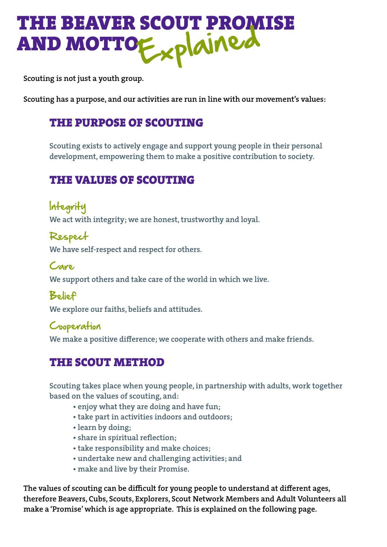# THE BEAVER SCOUT PROMISE AND MOTTOExplained

Scouting is not just a youth group.

Scouting has a purpose, and our activities are run in line with our movement's values:

## THE PURPOSE OF SCOUTING

Scouting exists to actively engage and support young people in their personal development, empowering them to make a positive contribution to society.

# THE VALUES OF SCOUTING

Integrity We act with integrity; we are honest, trustworthy and loyal.

Respect We have self-respect and respect for others.

Care We support others and take care of the world in which we live.

## Belief

We explore our faiths, beliefs and attitudes.

### Cooperation

We make a positive difference; we cooperate with others and make friends.

# THE SCOUT METHOD

Scouting takes place when young people, in partnership with adults, work together based on the values of scouting, and:

- enjoy what they are doing and have fun;
- take part in activities indoors and outdoors;
- learn by doing;
- share in spiritual reflection;
- take responsibility and make choices;
- undertake new and challenging activities; and
- make and live by their Promise.

The values of scouting can be difficult for young people to understand at different ages, therefore Beavers, Cubs, Scouts, Explorers, Scout Network Members and Adult Volunteers all make a 'Promise' which is age appropriate. This is explained on the following page.